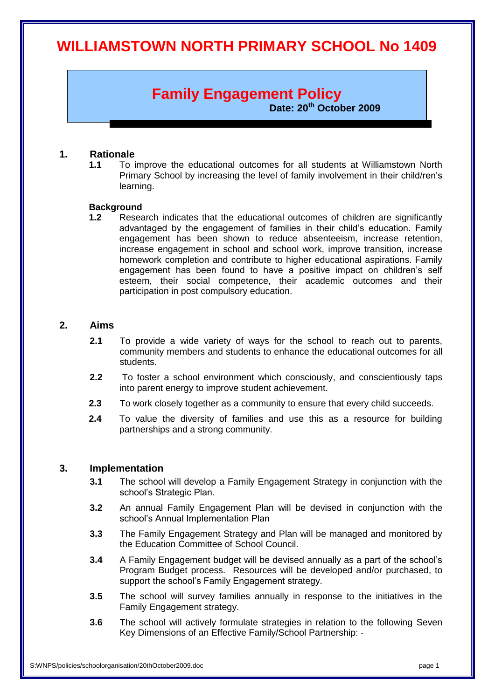# **WILLIAMSTOWN NORTH PRIMARY SCHOOL No 1409**

# **Family Engagement Policy**

**Date: 20th October 2009**

## **1. Rationale**

**1.1** To improve the educational outcomes for all students at Williamstown North Primary School by increasing the level of family involvement in their child/ren's learning.

#### **Background**

**1.2** Research indicates that the educational outcomes of children are significantly advantaged by the engagement of families in their child's education. Family engagement has been shown to reduce absenteeism, increase retention, increase engagement in school and school work, improve transition, increase homework completion and contribute to higher educational aspirations. Family engagement has been found to have a positive impact on children's self esteem, their social competence, their academic outcomes and their participation in post compulsory education.

# **2. Aims**

- **2.1** To provide a wide variety of ways for the school to reach out to parents, community members and students to enhance the educational outcomes for all students.
- **2.2** To foster a school environment which consciously, and conscientiously taps into parent energy to improve student achievement.
- **2.3** To work closely together as a community to ensure that every child succeeds.
- **2.4** To value the diversity of families and use this as a resource for building partnerships and a strong community.

## **3. Implementation**

- **3.1** The school will develop a Family Engagement Strategy in conjunction with the school's Strategic Plan.
- **3.2** An annual Family Engagement Plan will be devised in conjunction with the school's Annual Implementation Plan
- **3.3** The Family Engagement Strategy and Plan will be managed and monitored by the Education Committee of School Council.
- **3.4** A Family Engagement budget will be devised annually as a part of the school's Program Budget process. Resources will be developed and/or purchased, to support the school's Family Engagement strategy.
- **3.5** The school will survey families annually in response to the initiatives in the Family Engagement strategy.
- **3.6** The school will actively formulate strategies in relation to the following Seven Key Dimensions of an Effective Family/School Partnership: -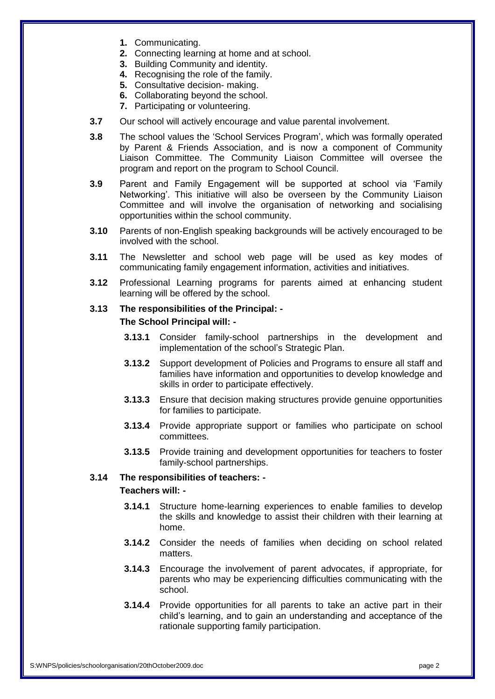- **1.** Communicating.
- **2.** Connecting learning at home and at school.
- **3.** Building Community and identity.
- **4.** Recognising the role of the family.
- **5.** Consultative decision- making.
- **6.** Collaborating beyond the school.
- **7.** Participating or volunteering.
- **3.7** Our school will actively encourage and value parental involvement.
- **3.8** The school values the 'School Services Program', which was formally operated by Parent & Friends Association, and is now a component of Community Liaison Committee. The Community Liaison Committee will oversee the program and report on the program to School Council.
- **3.9** Parent and Family Engagement will be supported at school via 'Family Networking'. This initiative will also be overseen by the Community Liaison Committee and will involve the organisation of networking and socialising opportunities within the school community.
- **3.10** Parents of non-English speaking backgrounds will be actively encouraged to be involved with the school.
- **3.11** The Newsletter and school web page will be used as key modes of communicating family engagement information, activities and initiatives.
- **3.12** Professional Learning programs for parents aimed at enhancing student learning will be offered by the school.

## **3.13 The responsibilities of the Principal: - The School Principal will: -**

- **3.13.1** Consider family-school partnerships in the development and implementation of the school's Strategic Plan.
- **3.13.2** Support development of Policies and Programs to ensure all staff and families have information and opportunities to develop knowledge and skills in order to participate effectively.
- **3.13.3** Ensure that decision making structures provide genuine opportunities for families to participate.
- **3.13.4** Provide appropriate support or families who participate on school committees.
- **3.13.5** Provide training and development opportunities for teachers to foster family-school partnerships.

## **3.14 The responsibilities of teachers: -**

## **Teachers will: -**

- **3.14.1** Structure home-learning experiences to enable families to develop the skills and knowledge to assist their children with their learning at home.
- **3.14.2** Consider the needs of families when deciding on school related matters.
- **3.14.3** Encourage the involvement of parent advocates, if appropriate, for parents who may be experiencing difficulties communicating with the school.
- **3.14.4** Provide opportunities for all parents to take an active part in their child's learning, and to gain an understanding and acceptance of the rationale supporting family participation.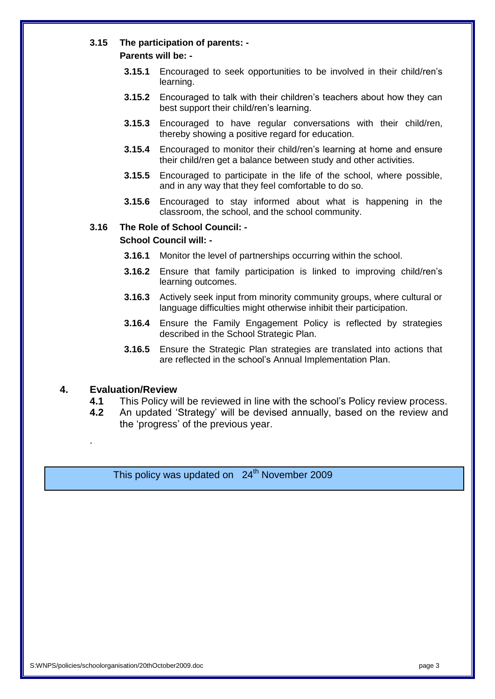## **3.15 The participation of parents: -**

## **Parents will be: -**

- **3.15.1** Encouraged to seek opportunities to be involved in their child/ren's learning.
- **3.15.2** Encouraged to talk with their children's teachers about how they can best support their child/ren's learning.
- **3.15.3** Encouraged to have regular conversations with their child/ren, thereby showing a positive regard for education.
- **3.15.4** Encouraged to monitor their child/ren's learning at home and ensure their child/ren get a balance between study and other activities.
- **3.15.5** Encouraged to participate in the life of the school, where possible, and in any way that they feel comfortable to do so.
- **3.15.6** Encouraged to stay informed about what is happening in the classroom, the school, and the school community.

## **3.16 The Role of School Council: -**

## **School Council will: -**

- **3.16.1** Monitor the level of partnerships occurring within the school.
- **3.16.2** Ensure that family participation is linked to improving child/ren's learning outcomes.
- **3.16.3** Actively seek input from minority community groups, where cultural or language difficulties might otherwise inhibit their participation.
- **3.16.4** Ensure the Family Engagement Policy is reflected by strategies described in the School Strategic Plan.
- **3.16.5** Ensure the Strategic Plan strategies are translated into actions that are reflected in the school's Annual Implementation Plan.

## **4. Evaluation/Review**

.

- **4.1** This Policy will be reviewed in line with the school's Policy review process.
- **4.2** An updated 'Strategy' will be devised annually, based on the review and the 'progress' of the previous year.

This policy was updated on  $24<sup>th</sup>$  November 2009